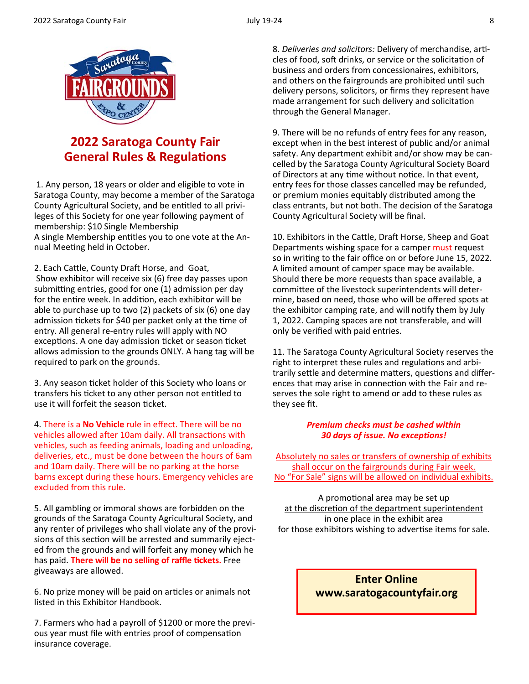

# **2022 Saratoga County Fair General Rules & Regulations**

1. Any person, 18 years or older and eligible to vote in Saratoga County, may become a member of the Saratoga County Agricultural Society, and be entitled to all privileges of this Society for one year following payment of membership: \$10 Single Membership A single Membership entitles you to one vote at the Annual Meeting held in October.

2. Each Cattle, County Draft Horse, and Goat, Show exhibitor will receive six (6) free day passes upon submitting entries, good for one (1) admission per day for the entire week. In addition, each exhibitor will be able to purchase up to two (2) packets of six (6) one day admission tickets for \$40 per packet only at the time of entry. All general re‐entry rules will apply with NO exceptions. A one day admission ticket or season ticket allows admission to the grounds ONLY. A hang tag will be required to park on the grounds.

3. Any season ticket holder of this Society who loans or transfers his ticket to any other person not entitled to use it will forfeit the season ticket.

4. There is a **No Vehicle** rule in effect. There will be no vehicles allowed after 10am daily. All transactions with vehicles, such as feeding animals, loading and unloading, deliveries, etc., must be done between the hours of 6am and 10am daily. There will be no parking at the horse barns except during these hours. Emergency vehicles are excluded from this rule.

5. All gambling or immoral shows are forbidden on the grounds of the Saratoga County Agricultural Society, and any renter of privileges who shall violate any of the provi‐ sions of this section will be arrested and summarily ejected from the grounds and will forfeit any money which he has paid. **There will be no selling of raffle Ɵckets.** Free giveaways are allowed.

6. No prize money will be paid on articles or animals not listed in this Exhibitor Handbook.

7. Farmers who had a payroll of \$1200 or more the previ‐ ous year must file with entries proof of compensation insurance coverage.

8. *Deliveries and solicitors:* Delivery of merchandise, articles of food, soft drinks, or service or the solicitation of business and orders from concessionaires, exhibitors, and others on the fairgrounds are prohibited until such delivery persons, solicitors, or firms they represent have made arrangement for such delivery and solicitation through the General Manager.

9. There will be no refunds of entry fees for any reason, except when in the best interest of public and/or animal safety. Any department exhibit and/or show may be can‐ celled by the Saratoga County Agricultural Society Board of Directors at any time without notice. In that event, entry fees for those classes cancelled may be refunded, or premium monies equitably distributed among the class entrants, but not both. The decision of the Saratoga County Agricultural Society will be final.

10. Exhibitors in the Cattle, Draft Horse, Sheep and Goat Departments wishing space for a camper must request so in writing to the fair office on or before June 15, 2022. A limited amount of camper space may be available. Should there be more requests than space available, a committee of the livestock superintendents will determine, based on need, those who will be offered spots at the exhibitor camping rate, and will notify them by July 1, 2022. Camping spaces are not transferable, and will only be verified with paid entries.

11. The Saratoga County Agricultural Society reserves the right to interpret these rules and regulations and arbitrarily settle and determine matters, questions and differences that may arise in connection with the Fair and reserves the sole right to amend or add to these rules as they see fit.

### *Premium checks must be cashed within 30 days of issue. No excepƟons!*

Absolutely no sales or transfers of ownership of exhibits shall occur on the fairgrounds during Fair week. No "For Sale" signs will be allowed on individual exhibits.

A promotional area may be set up at the discretion of the department superintendent in one place in the exhibit area for those exhibitors wishing to advertise items for sale.

> **Enter Online www.saratogacountyfair.org**